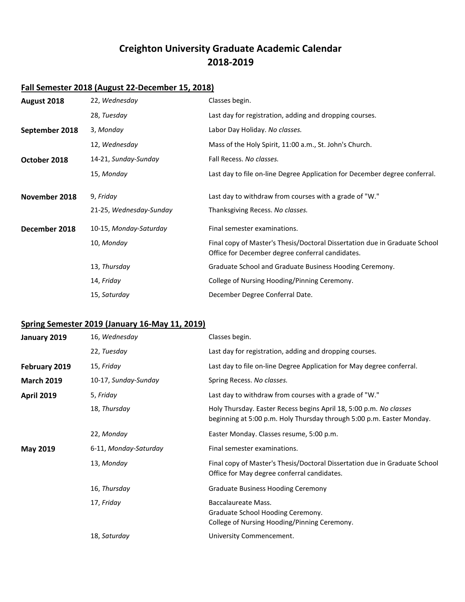# **Creighton University Graduate Academic Calendar 2018-2019**

### **Fall Semester 2018 (August 22-December 15, 2018)**

| August 2018    | 22, Wednesday           | Classes begin.                                                                                                                 |
|----------------|-------------------------|--------------------------------------------------------------------------------------------------------------------------------|
|                | 28, Tuesday             | Last day for registration, adding and dropping courses.                                                                        |
| September 2018 | 3, Monday               | Labor Day Holiday. No classes.                                                                                                 |
|                | 12, Wednesday           | Mass of the Holy Spirit, 11:00 a.m., St. John's Church.                                                                        |
| October 2018   | 14-21, Sunday-Sunday    | Fall Recess. No classes.                                                                                                       |
|                | 15, Monday              | Last day to file on-line Degree Application for December degree conferral.                                                     |
| November 2018  | 9, Friday               | Last day to withdraw from courses with a grade of "W."                                                                         |
|                | 21-25, Wednesday-Sunday | Thanksgiving Recess. No classes.                                                                                               |
| December 2018  | 10-15, Monday-Saturday  | Final semester examinations.                                                                                                   |
|                | 10, Monday              | Final copy of Master's Thesis/Doctoral Dissertation due in Graduate School<br>Office for December degree conferral candidates. |
|                | 13, Thursday            | Graduate School and Graduate Business Hooding Ceremony.                                                                        |
|                | 14, Friday              | College of Nursing Hooding/Pinning Ceremony.                                                                                   |
|                | 15, Saturday            | December Degree Conferral Date.                                                                                                |

## **Spring Semester 2019 (January 16-May 11, 2019)**

| January 2019      | 16, Wednesday         | Classes begin.                                                                                                                              |
|-------------------|-----------------------|---------------------------------------------------------------------------------------------------------------------------------------------|
|                   | 22, Tuesday           | Last day for registration, adding and dropping courses.                                                                                     |
| February 2019     | 15, Friday            | Last day to file on-line Degree Application for May degree conferral.                                                                       |
| <b>March 2019</b> | 10-17, Sunday-Sunday  | Spring Recess. No classes.                                                                                                                  |
| <b>April 2019</b> | 5, Friday             | Last day to withdraw from courses with a grade of "W."                                                                                      |
|                   | 18, Thursday          | Holy Thursday. Easter Recess begins April 18, 5:00 p.m. No classes<br>beginning at 5:00 p.m. Holy Thursday through 5:00 p.m. Easter Monday. |
|                   | 22, Monday            | Easter Monday. Classes resume, 5:00 p.m.                                                                                                    |
| <b>May 2019</b>   | 6-11, Monday-Saturday | Final semester examinations.                                                                                                                |
|                   | 13, Monday            | Final copy of Master's Thesis/Doctoral Dissertation due in Graduate School<br>Office for May degree conferral candidates.                   |
|                   | 16, Thursday          | <b>Graduate Business Hooding Ceremony</b>                                                                                                   |
|                   | 17, Friday            | Baccalaureate Mass.<br>Graduate School Hooding Ceremony.<br>College of Nursing Hooding/Pinning Ceremony.                                    |
|                   | 18, Saturday          | University Commencement.                                                                                                                    |